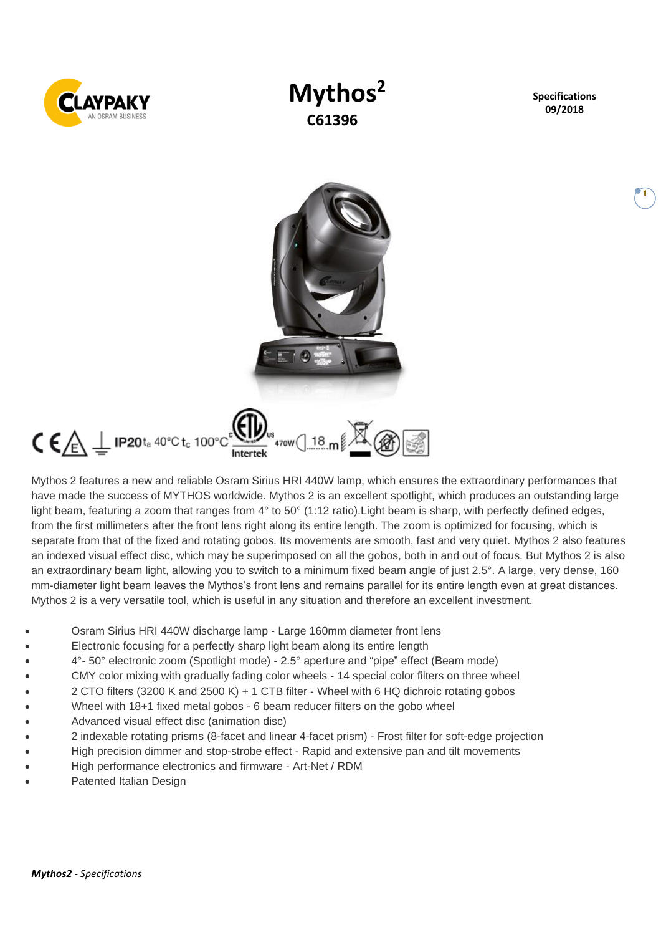

# **Mythos<sup>2</sup> C61396**

**Specifications 09/2018**

**1**



Mythos 2 features a new and reliable Osram Sirius HRI 440W lamp, which ensures the extraordinary performances that have made the success of MYTHOS worldwide. Mythos 2 is an excellent spotlight, which produces an outstanding large light beam, featuring a zoom that ranges from  $4^{\circ}$  to 50 $^{\circ}$  (1:12 ratio). Light beam is sharp, with perfectly defined edges, from the first millimeters after the front lens right along its entire length. The zoom is optimized for focusing, which is separate from that of the fixed and rotating gobos. Its movements are smooth, fast and very quiet. Mythos 2 also features an indexed visual effect disc, which may be superimposed on all the gobos, both in and out of focus. But Mythos 2 is also an extraordinary beam light, allowing you to switch to a minimum fixed beam angle of just 2.5°. A large, very dense, 160 mm-diameter light beam leaves the Mythos's front lens and remains parallel for its entire length even at great distances. Mythos 2 is a very versatile tool, which is useful in any situation and therefore an excellent investment.

- Osram Sirius HRI 440W discharge lamp Large 160mm diameter front lens
- Electronic focusing for a perfectly sharp light beam along its entire length
- 4°- 50° electronic zoom (Spotlight mode) 2.5° aperture and "pipe" effect (Beam mode)
- CMY color mixing with gradually fading color wheels 14 special color filters on three wheel
- 2 CTO filters (3200 K and 2500 K) + 1 CTB filter Wheel with 6 HQ dichroic rotating gobos
- Wheel with 18+1 fixed metal gobos 6 beam reducer filters on the gobo wheel
- Advanced visual effect disc (animation disc)
- 2 indexable rotating prisms (8-facet and linear 4-facet prism) Frost filter for soft-edge projection
- High precision dimmer and stop-strobe effect Rapid and extensive pan and tilt movements
- High performance electronics and firmware Art-Net / RDM
- Patented Italian Design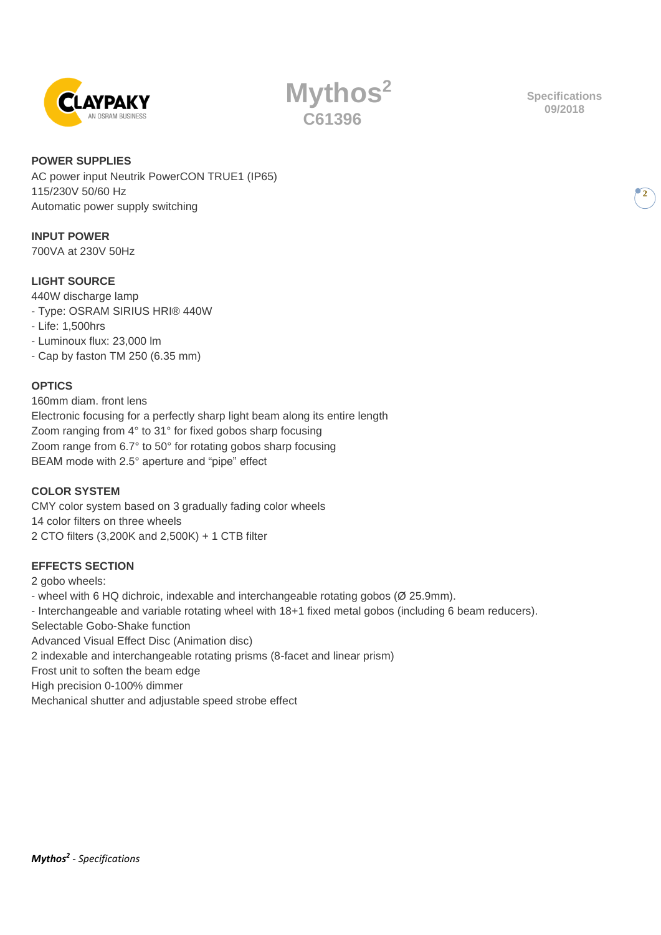

**Mythos<sup>2</sup> C61396**

**Specifications 09/2018**

**2**

## **POWER SUPPLIES**

AC power input Neutrik PowerCON TRUE1 (IP65) 115/230V 50/60 Hz Automatic power supply switching

# **INPUT POWER**

700VA at 230V 50Hz

# **LIGHT SOURCE**

440W discharge lamp

- Type: OSRAM SIRIUS HRI® 440W
- Life: 1,500hrs
- Luminoux flux: 23,000 lm
- Cap by faston TM 250 (6.35 mm)

# **OPTICS**

160mm diam. front lens Electronic focusing for a perfectly sharp light beam along its entire length Zoom ranging from 4° to 31° for fixed gobos sharp focusing Zoom range from 6.7° to 50° for rotating gobos sharp focusing BEAM mode with 2.5° aperture and "pipe" effect

## **COLOR SYSTEM**

CMY color system based on 3 gradually fading color wheels 14 color filters on three wheels 2 CTO filters (3,200K and 2,500K) + 1 CTB filter

# **EFFECTS SECTION**

2 gobo wheels:

- wheel with 6 HQ dichroic, indexable and interchangeable rotating gobos (Ø 25.9mm).

- Interchangeable and variable rotating wheel with 18+1 fixed metal gobos (including 6 beam reducers). Selectable Gobo-Shake function

Advanced Visual Effect Disc (Animation disc)

2 indexable and interchangeable rotating prisms (8-facet and linear prism)

Frost unit to soften the beam edge

High precision 0-100% dimmer

Mechanical shutter and adjustable speed strobe effect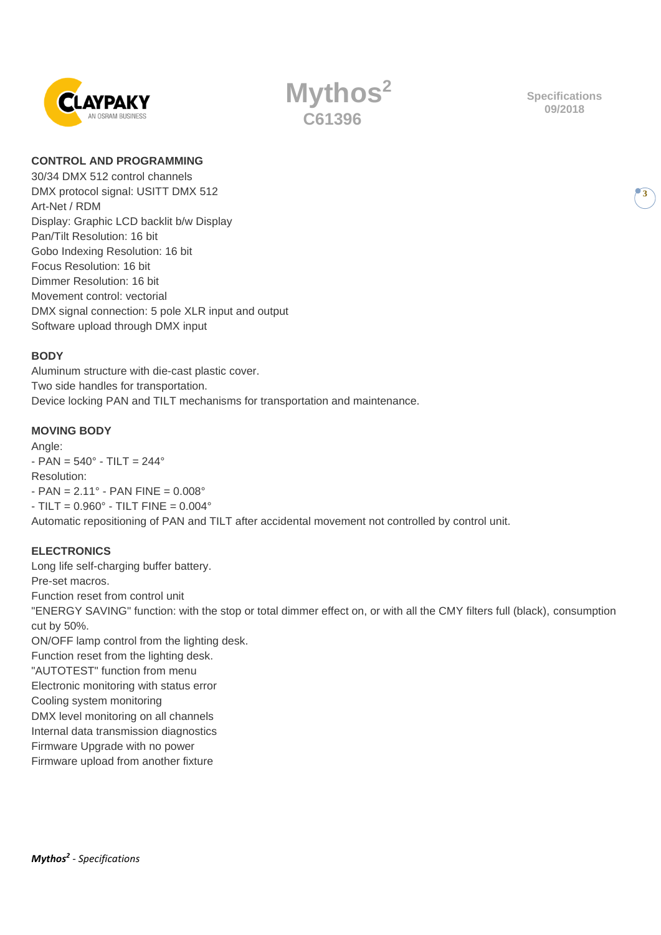



**Specifications 09/2018**

**3**

#### **CONTROL AND PROGRAMMING**

30/34 DMX 512 control channels DMX protocol signal: USITT DMX 512 Art-Net / RDM Display: Graphic LCD backlit b/w Display Pan/Tilt Resolution: 16 bit Gobo Indexing Resolution: 16 bit Focus Resolution: 16 bit Dimmer Resolution: 16 bit Movement control: vectorial DMX signal connection: 5 pole XLR input and output Software upload through DMX input

#### **BODY**

Aluminum structure with die-cast plastic cover. Two side handles for transportation. Device locking PAN and TILT mechanisms for transportation and maintenance.

## **MOVING BODY**

Angle:  $-$  PAN = 540 $^{\circ}$  - TILT = 244 $^{\circ}$ Resolution:  $-$  PAN = 2.11 $^{\circ}$  - PAN FINE = 0.008 $^{\circ}$  $-$  TILT = 0.960 $^{\circ}$  - TILT FINE = 0.004 $^{\circ}$ Automatic repositioning of PAN and TILT after accidental movement not controlled by control unit.

## **ELECTRONICS**

Long life self-charging buffer battery. Pre-set macros. Function reset from control unit "ENERGY SAVING" function: with the stop or total dimmer effect on, or with all the CMY filters full (black), consumption cut by 50%. ON/OFF lamp control from the lighting desk. Function reset from the lighting desk. "AUTOTEST" function from menu Electronic monitoring with status error Cooling system monitoring DMX level monitoring on all channels Internal data transmission diagnostics Firmware Upgrade with no power

Firmware upload from another fixture